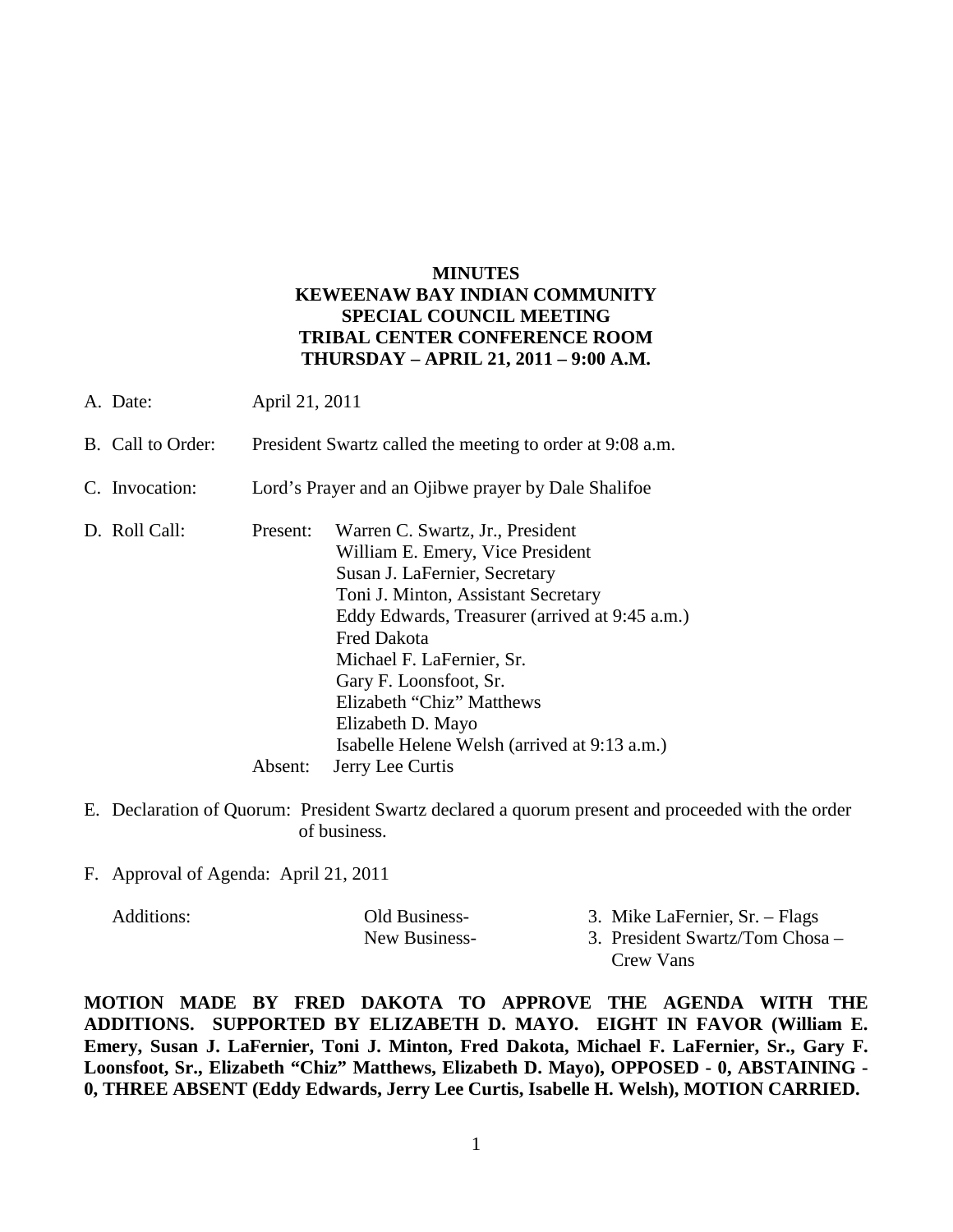# **MINUTES KEWEENAW BAY INDIAN COMMUNITY SPECIAL COUNCIL MEETING TRIBAL CENTER CONFERENCE ROOM THURSDAY – APRIL 21, 2011 – 9:00 A.M.**

- A. Date: April 21, 2011
- B. Call to Order: President Swartz called the meeting to order at 9:08 a.m.
- C. Invocation: Lord's Prayer and an Ojibwe prayer by Dale Shalifoe
- D. Roll Call: Present: Warren C. Swartz, Jr., President William E. Emery, Vice President Susan J. LaFernier, Secretary Toni J. Minton, Assistant Secretary Eddy Edwards, Treasurer (arrived at 9:45 a.m.) Fred Dakota Michael F. LaFernier, Sr. Gary F. Loonsfoot, Sr. Elizabeth "Chiz" Matthews Elizabeth D. Mayo Isabelle Helene Welsh (arrived at 9:13 a.m.) Absent: Jerry Lee Curtis
- E. Declaration of Quorum: President Swartz declared a quorum present and proceeded with the order of business.
- F. Approval of Agenda: April 21, 2011

| Additions: | Old Business- | 3. Mike LaFernier, Sr. – Flags  |
|------------|---------------|---------------------------------|
|            | New Business- | 3. President Swartz/Tom Chosa – |
|            |               | Crew Vans                       |

**MOTION MADE BY FRED DAKOTA TO APPROVE THE AGENDA WITH THE ADDITIONS. SUPPORTED BY ELIZABETH D. MAYO. EIGHT IN FAVOR (William E. Emery, Susan J. LaFernier, Toni J. Minton, Fred Dakota, Michael F. LaFernier, Sr., Gary F. Loonsfoot, Sr., Elizabeth "Chiz" Matthews, Elizabeth D. Mayo), OPPOSED - 0, ABSTAINING - 0, THREE ABSENT (Eddy Edwards, Jerry Lee Curtis, Isabelle H. Welsh), MOTION CARRIED.**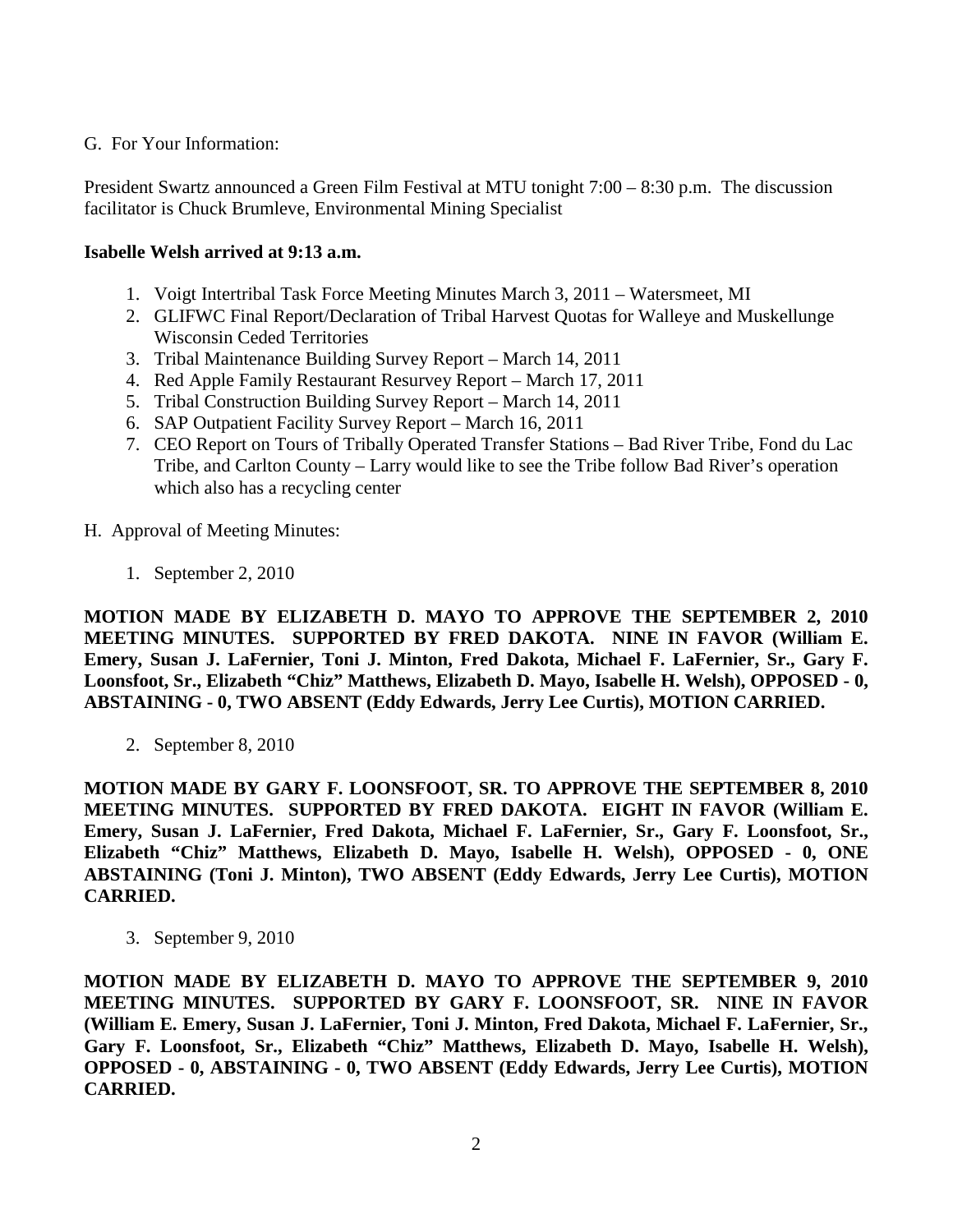### G. For Your Information:

President Swartz announced a Green Film Festival at MTU tonight 7:00 – 8:30 p.m. The discussion facilitator is Chuck Brumleve, Environmental Mining Specialist

# **Isabelle Welsh arrived at 9:13 a.m.**

- 1. Voigt Intertribal Task Force Meeting Minutes March 3, 2011 Watersmeet, MI
- 2. GLIFWC Final Report/Declaration of Tribal Harvest Quotas for Walleye and Muskellunge Wisconsin Ceded Territories
- 3. Tribal Maintenance Building Survey Report March 14, 2011
- 4. Red Apple Family Restaurant Resurvey Report March 17, 2011
- 5. Tribal Construction Building Survey Report March 14, 2011
- 6. SAP Outpatient Facility Survey Report March 16, 2011
- 7. CEO Report on Tours of Tribally Operated Transfer Stations Bad River Tribe, Fond du Lac Tribe, and Carlton County – Larry would like to see the Tribe follow Bad River's operation which also has a recycling center
- H. Approval of Meeting Minutes:
	- 1. September 2, 2010

**MOTION MADE BY ELIZABETH D. MAYO TO APPROVE THE SEPTEMBER 2, 2010 MEETING MINUTES. SUPPORTED BY FRED DAKOTA. NINE IN FAVOR (William E. Emery, Susan J. LaFernier, Toni J. Minton, Fred Dakota, Michael F. LaFernier, Sr., Gary F. Loonsfoot, Sr., Elizabeth "Chiz" Matthews, Elizabeth D. Mayo, Isabelle H. Welsh), OPPOSED - 0, ABSTAINING - 0, TWO ABSENT (Eddy Edwards, Jerry Lee Curtis), MOTION CARRIED.**

2. September 8, 2010

**MOTION MADE BY GARY F. LOONSFOOT, SR. TO APPROVE THE SEPTEMBER 8, 2010 MEETING MINUTES. SUPPORTED BY FRED DAKOTA. EIGHT IN FAVOR (William E. Emery, Susan J. LaFernier, Fred Dakota, Michael F. LaFernier, Sr., Gary F. Loonsfoot, Sr., Elizabeth "Chiz" Matthews, Elizabeth D. Mayo, Isabelle H. Welsh), OPPOSED - 0, ONE ABSTAINING (Toni J. Minton), TWO ABSENT (Eddy Edwards, Jerry Lee Curtis), MOTION CARRIED.**

3. September 9, 2010

**MOTION MADE BY ELIZABETH D. MAYO TO APPROVE THE SEPTEMBER 9, 2010 MEETING MINUTES. SUPPORTED BY GARY F. LOONSFOOT, SR. NINE IN FAVOR (William E. Emery, Susan J. LaFernier, Toni J. Minton, Fred Dakota, Michael F. LaFernier, Sr., Gary F. Loonsfoot, Sr., Elizabeth "Chiz" Matthews, Elizabeth D. Mayo, Isabelle H. Welsh), OPPOSED - 0, ABSTAINING - 0, TWO ABSENT (Eddy Edwards, Jerry Lee Curtis), MOTION CARRIED.**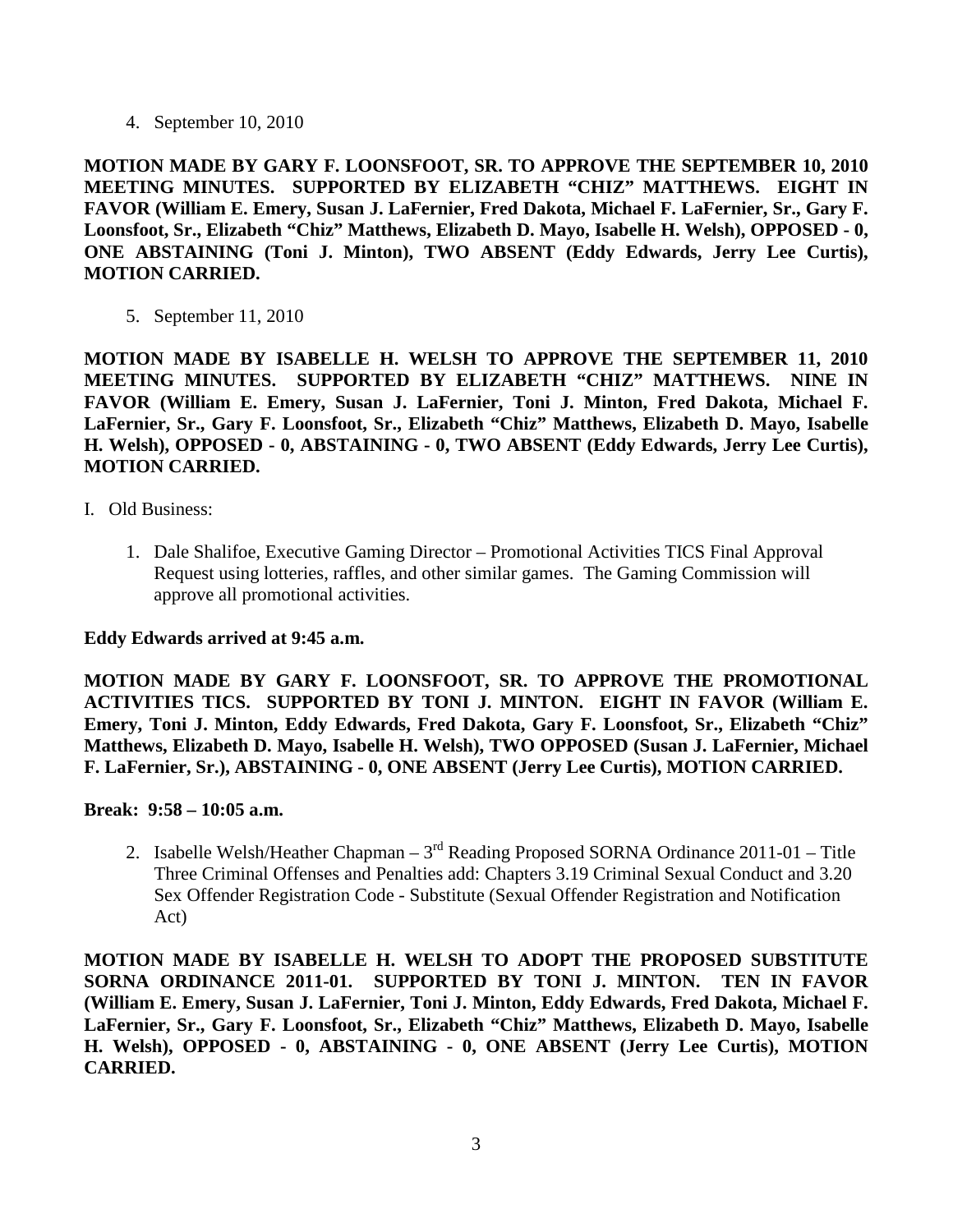4. September 10, 2010

**MOTION MADE BY GARY F. LOONSFOOT, SR. TO APPROVE THE SEPTEMBER 10, 2010 MEETING MINUTES. SUPPORTED BY ELIZABETH "CHIZ" MATTHEWS. EIGHT IN FAVOR (William E. Emery, Susan J. LaFernier, Fred Dakota, Michael F. LaFernier, Sr., Gary F. Loonsfoot, Sr., Elizabeth "Chiz" Matthews, Elizabeth D. Mayo, Isabelle H. Welsh), OPPOSED - 0, ONE ABSTAINING (Toni J. Minton), TWO ABSENT (Eddy Edwards, Jerry Lee Curtis), MOTION CARRIED.**

5. September 11, 2010

**MOTION MADE BY ISABELLE H. WELSH TO APPROVE THE SEPTEMBER 11, 2010 MEETING MINUTES. SUPPORTED BY ELIZABETH "CHIZ" MATTHEWS. NINE IN FAVOR (William E. Emery, Susan J. LaFernier, Toni J. Minton, Fred Dakota, Michael F. LaFernier, Sr., Gary F. Loonsfoot, Sr., Elizabeth "Chiz" Matthews, Elizabeth D. Mayo, Isabelle H. Welsh), OPPOSED - 0, ABSTAINING - 0, TWO ABSENT (Eddy Edwards, Jerry Lee Curtis), MOTION CARRIED.**

- I. Old Business:
	- 1. Dale Shalifoe, Executive Gaming Director Promotional Activities TICS Final Approval Request using lotteries, raffles, and other similar games. The Gaming Commission will approve all promotional activities.

### **Eddy Edwards arrived at 9:45 a.m.**

**MOTION MADE BY GARY F. LOONSFOOT, SR. TO APPROVE THE PROMOTIONAL ACTIVITIES TICS. SUPPORTED BY TONI J. MINTON. EIGHT IN FAVOR (William E. Emery, Toni J. Minton, Eddy Edwards, Fred Dakota, Gary F. Loonsfoot, Sr., Elizabeth "Chiz" Matthews, Elizabeth D. Mayo, Isabelle H. Welsh), TWO OPPOSED (Susan J. LaFernier, Michael F. LaFernier, Sr.), ABSTAINING - 0, ONE ABSENT (Jerry Lee Curtis), MOTION CARRIED.**

### **Break: 9:58 – 10:05 a.m.**

2. Isabelle Welsh/Heather Chapman –  $3<sup>rd</sup>$  Reading Proposed SORNA Ordinance 2011-01 – Title Three Criminal Offenses and Penalties add: Chapters 3.19 Criminal Sexual Conduct and 3.20 Sex Offender Registration Code - Substitute (Sexual Offender Registration and Notification Act)

**MOTION MADE BY ISABELLE H. WELSH TO ADOPT THE PROPOSED SUBSTITUTE SORNA ORDINANCE 2011-01. SUPPORTED BY TONI J. MINTON. TEN IN FAVOR (William E. Emery, Susan J. LaFernier, Toni J. Minton, Eddy Edwards, Fred Dakota, Michael F. LaFernier, Sr., Gary F. Loonsfoot, Sr., Elizabeth "Chiz" Matthews, Elizabeth D. Mayo, Isabelle H. Welsh), OPPOSED - 0, ABSTAINING - 0, ONE ABSENT (Jerry Lee Curtis), MOTION CARRIED.**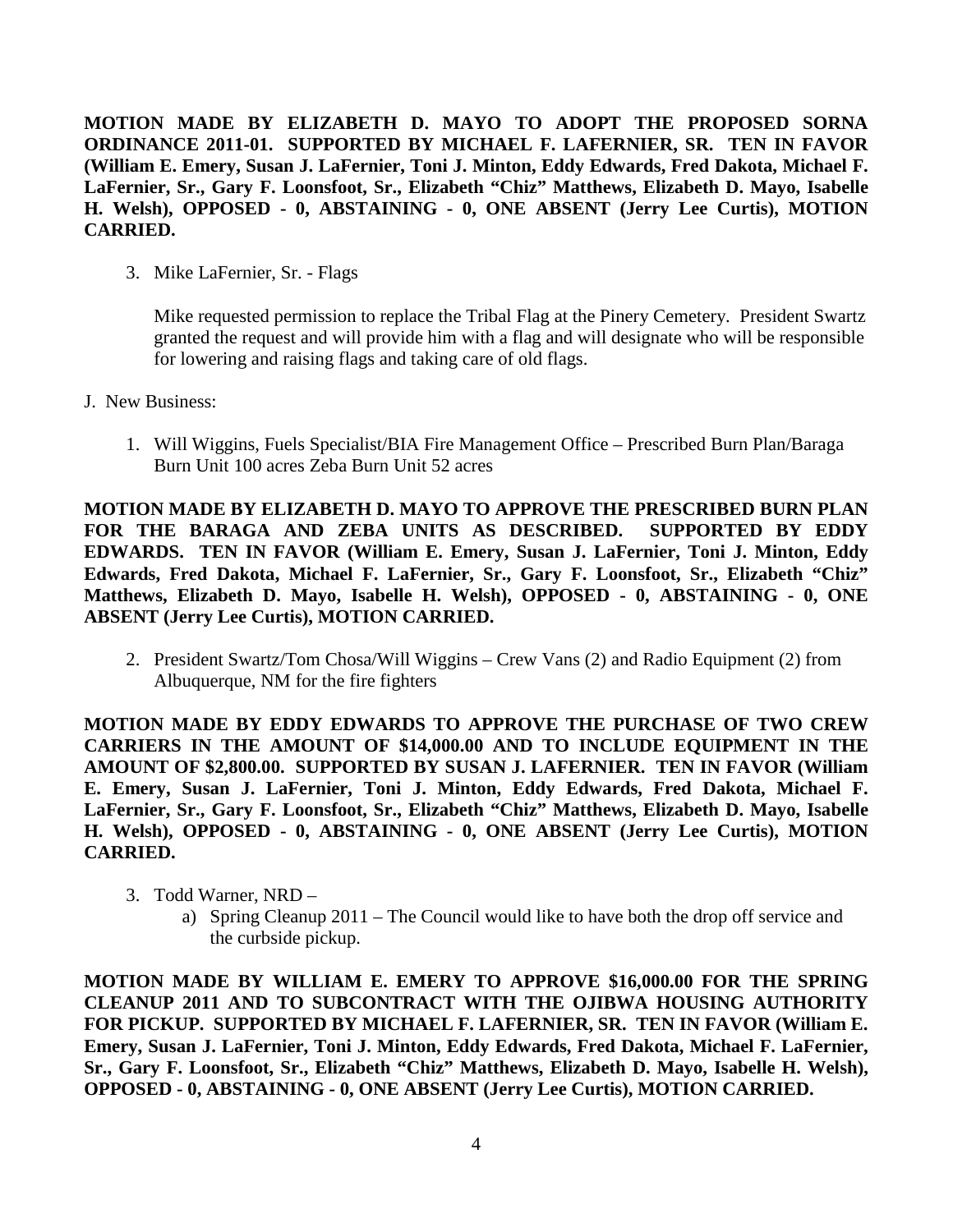**MOTION MADE BY ELIZABETH D. MAYO TO ADOPT THE PROPOSED SORNA ORDINANCE 2011-01. SUPPORTED BY MICHAEL F. LAFERNIER, SR. TEN IN FAVOR (William E. Emery, Susan J. LaFernier, Toni J. Minton, Eddy Edwards, Fred Dakota, Michael F. LaFernier, Sr., Gary F. Loonsfoot, Sr., Elizabeth "Chiz" Matthews, Elizabeth D. Mayo, Isabelle H. Welsh), OPPOSED - 0, ABSTAINING - 0, ONE ABSENT (Jerry Lee Curtis), MOTION CARRIED.**

3. Mike LaFernier, Sr. - Flags

Mike requested permission to replace the Tribal Flag at the Pinery Cemetery. President Swartz granted the request and will provide him with a flag and will designate who will be responsible for lowering and raising flags and taking care of old flags.

- J. New Business:
	- 1. Will Wiggins, Fuels Specialist/BIA Fire Management Office Prescribed Burn Plan/Baraga Burn Unit 100 acres Zeba Burn Unit 52 acres

**MOTION MADE BY ELIZABETH D. MAYO TO APPROVE THE PRESCRIBED BURN PLAN FOR THE BARAGA AND ZEBA UNITS AS DESCRIBED. SUPPORTED BY EDDY EDWARDS. TEN IN FAVOR (William E. Emery, Susan J. LaFernier, Toni J. Minton, Eddy Edwards, Fred Dakota, Michael F. LaFernier, Sr., Gary F. Loonsfoot, Sr., Elizabeth "Chiz" Matthews, Elizabeth D. Mayo, Isabelle H. Welsh), OPPOSED - 0, ABSTAINING - 0, ONE ABSENT (Jerry Lee Curtis), MOTION CARRIED.**

2. President Swartz/Tom Chosa/Will Wiggins – Crew Vans (2) and Radio Equipment (2) from Albuquerque, NM for the fire fighters

**MOTION MADE BY EDDY EDWARDS TO APPROVE THE PURCHASE OF TWO CREW CARRIERS IN THE AMOUNT OF \$14,000.00 AND TO INCLUDE EQUIPMENT IN THE AMOUNT OF \$2,800.00. SUPPORTED BY SUSAN J. LAFERNIER. TEN IN FAVOR (William E. Emery, Susan J. LaFernier, Toni J. Minton, Eddy Edwards, Fred Dakota, Michael F. LaFernier, Sr., Gary F. Loonsfoot, Sr., Elizabeth "Chiz" Matthews, Elizabeth D. Mayo, Isabelle H. Welsh), OPPOSED - 0, ABSTAINING - 0, ONE ABSENT (Jerry Lee Curtis), MOTION CARRIED.**

- 3. Todd Warner, NRD
	- a) Spring Cleanup 2011 The Council would like to have both the drop off service and the curbside pickup.

**MOTION MADE BY WILLIAM E. EMERY TO APPROVE \$16,000.00 FOR THE SPRING CLEANUP 2011 AND TO SUBCONTRACT WITH THE OJIBWA HOUSING AUTHORITY FOR PICKUP. SUPPORTED BY MICHAEL F. LAFERNIER, SR. TEN IN FAVOR (William E. Emery, Susan J. LaFernier, Toni J. Minton, Eddy Edwards, Fred Dakota, Michael F. LaFernier, Sr., Gary F. Loonsfoot, Sr., Elizabeth "Chiz" Matthews, Elizabeth D. Mayo, Isabelle H. Welsh), OPPOSED - 0, ABSTAINING - 0, ONE ABSENT (Jerry Lee Curtis), MOTION CARRIED.**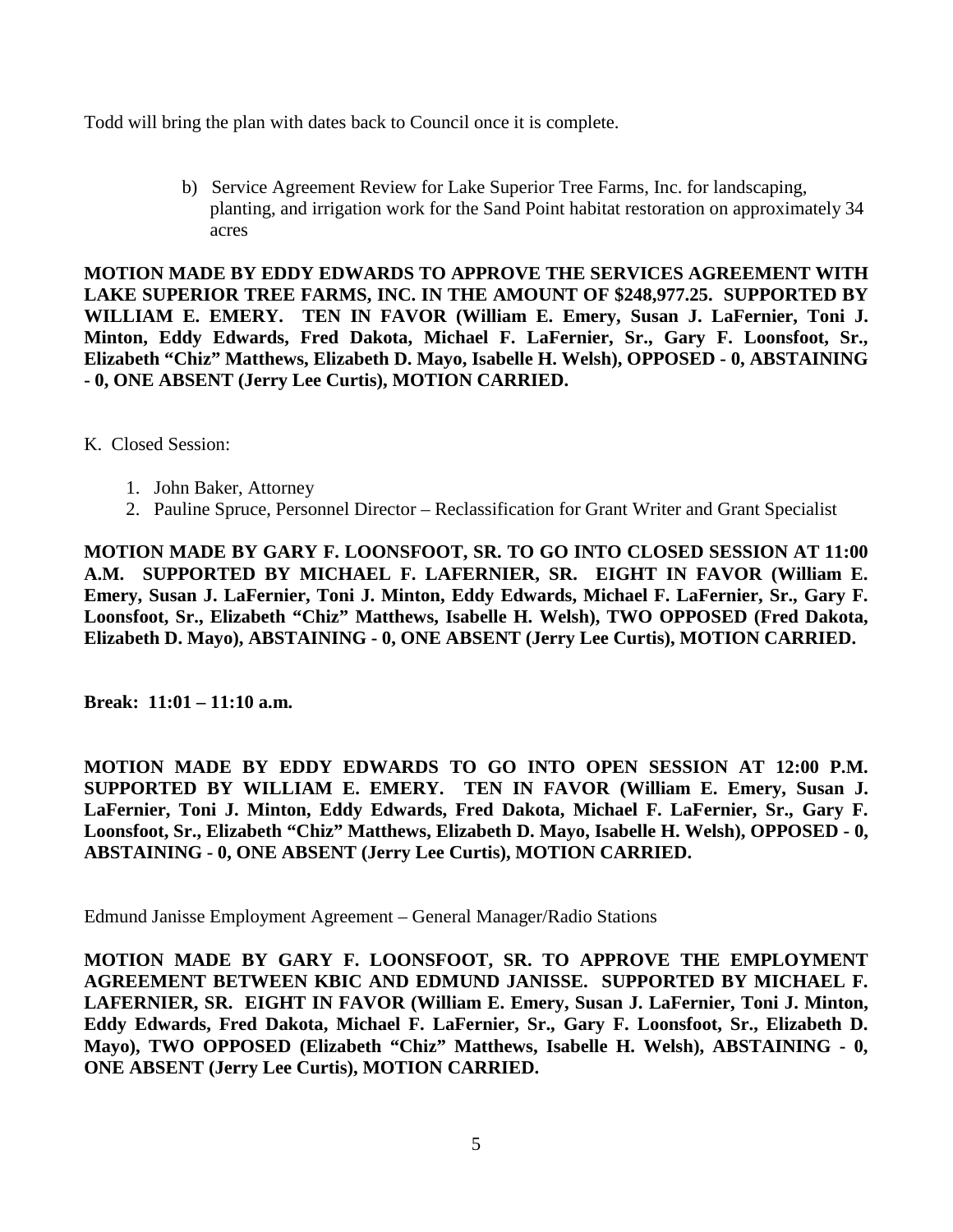Todd will bring the plan with dates back to Council once it is complete.

b) Service Agreement Review for Lake Superior Tree Farms, Inc. for landscaping, planting, and irrigation work for the Sand Point habitat restoration on approximately 34 acres

**MOTION MADE BY EDDY EDWARDS TO APPROVE THE SERVICES AGREEMENT WITH LAKE SUPERIOR TREE FARMS, INC. IN THE AMOUNT OF \$248,977.25. SUPPORTED BY WILLIAM E. EMERY. TEN IN FAVOR (William E. Emery, Susan J. LaFernier, Toni J. Minton, Eddy Edwards, Fred Dakota, Michael F. LaFernier, Sr., Gary F. Loonsfoot, Sr., Elizabeth "Chiz" Matthews, Elizabeth D. Mayo, Isabelle H. Welsh), OPPOSED - 0, ABSTAINING - 0, ONE ABSENT (Jerry Lee Curtis), MOTION CARRIED.**

K. Closed Session:

- 1. John Baker, Attorney
- 2. Pauline Spruce, Personnel Director Reclassification for Grant Writer and Grant Specialist

**MOTION MADE BY GARY F. LOONSFOOT, SR. TO GO INTO CLOSED SESSION AT 11:00 A.M. SUPPORTED BY MICHAEL F. LAFERNIER, SR. EIGHT IN FAVOR (William E. Emery, Susan J. LaFernier, Toni J. Minton, Eddy Edwards, Michael F. LaFernier, Sr., Gary F. Loonsfoot, Sr., Elizabeth "Chiz" Matthews, Isabelle H. Welsh), TWO OPPOSED (Fred Dakota, Elizabeth D. Mayo), ABSTAINING - 0, ONE ABSENT (Jerry Lee Curtis), MOTION CARRIED.**

**Break: 11:01 – 11:10 a.m.**

**MOTION MADE BY EDDY EDWARDS TO GO INTO OPEN SESSION AT 12:00 P.M. SUPPORTED BY WILLIAM E. EMERY. TEN IN FAVOR (William E. Emery, Susan J. LaFernier, Toni J. Minton, Eddy Edwards, Fred Dakota, Michael F. LaFernier, Sr., Gary F. Loonsfoot, Sr., Elizabeth "Chiz" Matthews, Elizabeth D. Mayo, Isabelle H. Welsh), OPPOSED - 0, ABSTAINING - 0, ONE ABSENT (Jerry Lee Curtis), MOTION CARRIED.**

Edmund Janisse Employment Agreement – General Manager/Radio Stations

**MOTION MADE BY GARY F. LOONSFOOT, SR. TO APPROVE THE EMPLOYMENT AGREEMENT BETWEEN KBIC AND EDMUND JANISSE. SUPPORTED BY MICHAEL F. LAFERNIER, SR. EIGHT IN FAVOR (William E. Emery, Susan J. LaFernier, Toni J. Minton, Eddy Edwards, Fred Dakota, Michael F. LaFernier, Sr., Gary F. Loonsfoot, Sr., Elizabeth D. Mayo), TWO OPPOSED (Elizabeth "Chiz" Matthews, Isabelle H. Welsh), ABSTAINING - 0, ONE ABSENT (Jerry Lee Curtis), MOTION CARRIED.**